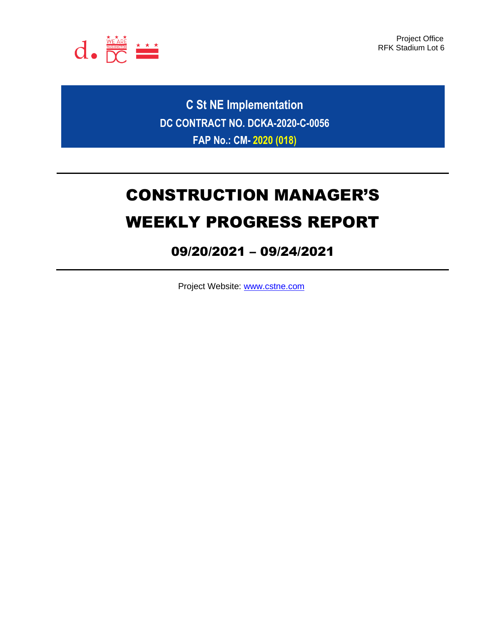

Project Office RFK Stadium Lot 6

**C St NE Implementation DC CONTRACT NO. DCKA-2020-C-0056 FAP No.: CM- 2020 (018)**

# CONSTRUCTION MANAGER'S WEEKLY PROGRESS REPORT

# 09/20/2021 – 09/24/2021

Project Website: [www.cstne.com](http://www.cstne.com/)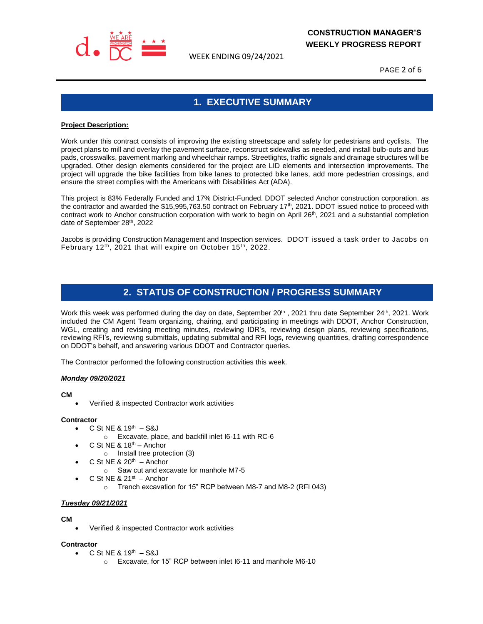

WEEK ENDING 09/24/2021

PAGE 2 of 6

# **1. EXECUTIVE SUMMARY**

#### **Project Description:**

Work under this contract consists of improving the existing streetscape and safety for pedestrians and cyclists. The project plans to mill and overlay the pavement surface, reconstruct sidewalks as needed, and install bulb-outs and bus pads, crosswalks, pavement marking and wheelchair ramps. Streetlights, traffic signals and drainage structures will be upgraded. Other design elements considered for the project are LID elements and intersection improvements. The project will upgrade the bike facilities from bike lanes to protected bike lanes, add more pedestrian crossings, and ensure the street complies with the Americans with Disabilities Act (ADA).

This project is 83% Federally Funded and 17% District-Funded. DDOT selected Anchor construction corporation. as the contractor and awarded the \$15,995,763.50 contract on February 17<sup>th</sup>, 2021. DDOT issued notice to proceed with contract work to Anchor construction corporation with work to begin on April  $26<sup>th</sup>$ , 2021 and a substantial completion date of September 28th, 2022

Jacobs is providing Construction Management and Inspection services. DDOT issued a task order to Jacobs on February 12<sup>th</sup>, 2021 that will expire on October 15<sup>th</sup>, 2022.

# **2. STATUS OF CONSTRUCTION / PROGRESS SUMMARY**

Work this week was performed during the day on date, September  $20^{th}$ , 2021 thru date September 24<sup>th</sup>, 2021. Work included the CM Agent Team organizing, chairing, and participating in meetings with DDOT, Anchor Construction, WGL, creating and revising meeting minutes, reviewing IDR's, reviewing design plans, reviewing specifications, reviewing RFI's, reviewing submittals, updating submittal and RFI logs, reviewing quantities, drafting correspondence on DDOT's behalf, and answering various DDOT and Contractor queries.

The Contractor performed the following construction activities this week.

#### *Monday 09/20/2021*

#### **CM**

• Verified & inspected Contractor work activities

#### **Contractor**

- $C$  St NE & 19<sup>th</sup>  $-$  S&J
	- o Excavate, place, and backfill inlet I6-11 with RC-6
- $\bullet$  C St NE & 18<sup>th</sup> Anchor
- o Install tree protection (3)
- $\bullet$  C St NE & 20<sup>th</sup> Anchor
	- o Saw cut and excavate for manhole M7-5
- $\bullet$  C St NE & 21st  $-$  Anchor
	- o Trench excavation for 15" RCP between M8-7 and M8-2 (RFI 043)

#### *Tuesday 09/21/2021*

#### **CM**

• Verified & inspected Contractor work activities

#### **Contractor**

- $C$  St NE & 19<sup>th</sup>  $-$  S&J
	- o Excavate, for 15" RCP between inlet I6-11 and manhole M6-10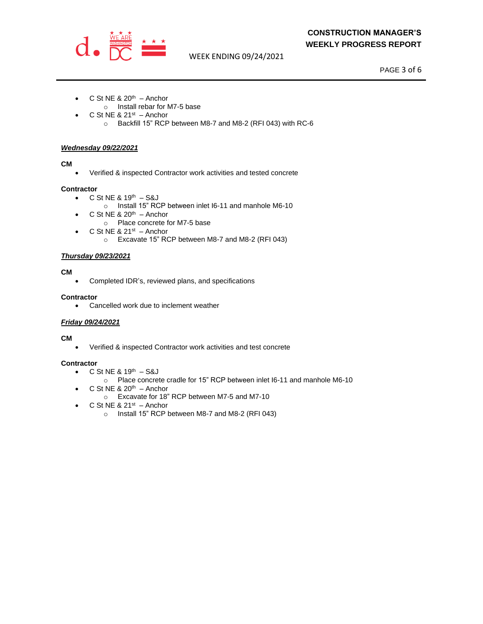

WEEK ENDING 09/24/2021

PAGE 3 of 6

- $\bullet$  C St NE & 20<sup>th</sup> Anchor
	- o Install rebar for M7-5 base
- $\bullet$  C St NE & 21st  $-$  Anchor
	- o Backfill 15" RCP between M8-7 and M8-2 (RFI 043) with RC-6

#### *Wednesday 09/22/2021*

#### **CM**

• Verified & inspected Contractor work activities and tested concrete

#### **Contractor**

- $C$  St NE & 19<sup>th</sup>  $-$  S&J
	- o Install 15" RCP between inlet I6-11 and manhole M6-10
- $\bullet$  C St NE & 20<sup>th</sup> Anchor
	- o Place concrete for M7-5 base
- $\bullet$  C St NE & 21st Anchor
	- o Excavate 15" RCP between M8-7 and M8-2 (RFI 043)

#### *Thursday 09/23/2021*

#### **CM**

• Completed IDR's, reviewed plans, and specifications

#### **Contractor**

• Cancelled work due to inclement weather

#### *Friday 09/24/2021*

#### **CM**

• Verified & inspected Contractor work activities and test concrete

#### **Contractor**

- $C$  St NE & 19<sup>th</sup>  $-$  S&J
	- o Place concrete cradle for 15" RCP between inlet I6-11 and manhole M6-10
- $\bullet$  C St NE & 20<sup>th</sup> Anchor
	- o Excavate for 18" RCP between M7-5 and M7-10
- $\bullet$  C St NE & 21st  $-$  Anchor
	- o Install 15" RCP between M8-7 and M8-2 (RFI 043)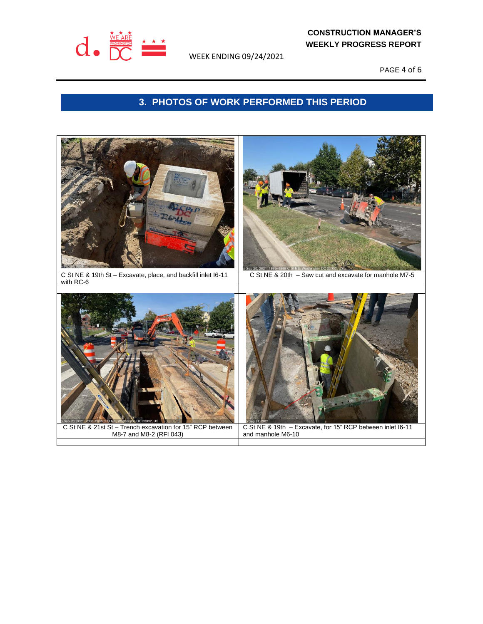

WEEK ENDING 09/24/2021

PAGE 4 of 6

# **3. PHOTOS OF WORK PERFORMED THIS PERIOD**

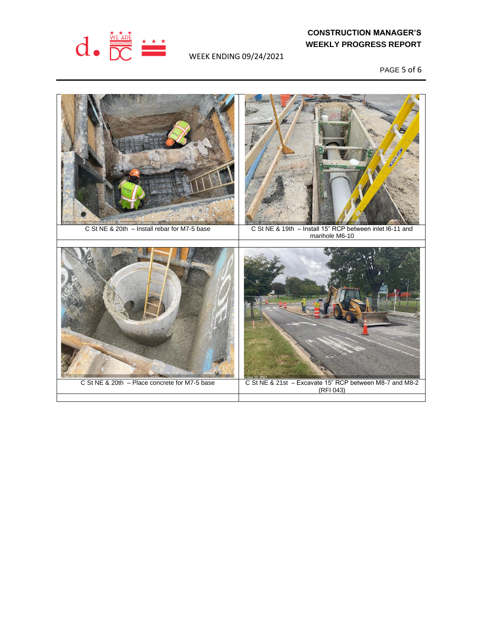

WEEK ENDING 09/24/2021

PAGE 5 of 6